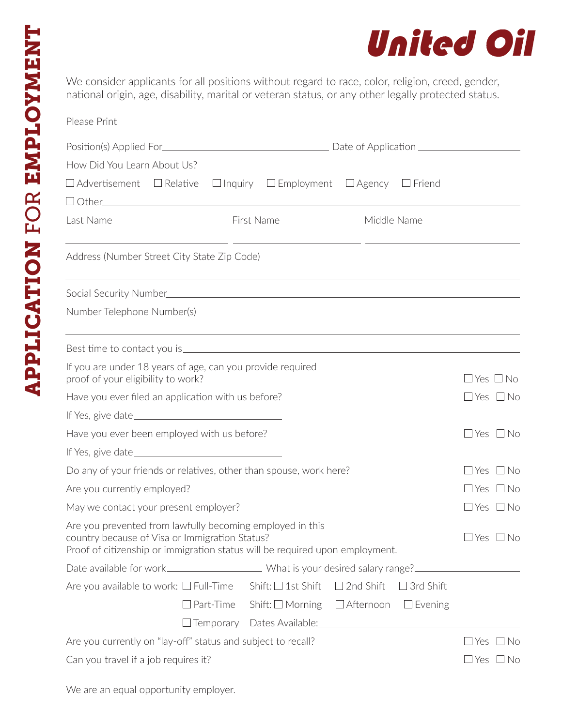

We consider applicants for all positions without regard to race, color, religion, creed, gender, national origin, age, disability, marital or veteran status, or any other legally protected status.

| Please Print                                   |                                                                                                                                                                                             |                                                             |                  |                                                                            |                            |  |
|------------------------------------------------|---------------------------------------------------------------------------------------------------------------------------------------------------------------------------------------------|-------------------------------------------------------------|------------------|----------------------------------------------------------------------------|----------------------------|--|
|                                                |                                                                                                                                                                                             |                                                             |                  |                                                                            |                            |  |
| How Did You Learn About Us?                    |                                                                                                                                                                                             |                                                             |                  |                                                                            |                            |  |
|                                                | $\Box$ Advertisement $\Box$ Relative $\Box$ Inquiry $\Box$ Employment $\Box$ Agency $\Box$ Friend                                                                                           |                                                             |                  |                                                                            |                            |  |
|                                                |                                                                                                                                                                                             |                                                             |                  | the control of the control of the control of the control of the control of |                            |  |
| Last Name                                      |                                                                                                                                                                                             | First Name                                                  | Middle Name      |                                                                            |                            |  |
|                                                | <u> 1999 - Johann Harry Harry Harry Harry Harry Harry Harry Harry Harry Harry Harry Harry Harry Harry Harry Harry</u><br>Address (Number Street City State Zip Code)                        |                                                             |                  |                                                                            |                            |  |
|                                                |                                                                                                                                                                                             | <u> 1989 - Johann Stoff, amerikansk politiker (d. 1989)</u> |                  |                                                                            |                            |  |
| Number Telephone Number(s)                     |                                                                                                                                                                                             |                                                             |                  |                                                                            |                            |  |
|                                                |                                                                                                                                                                                             | <u> 1989 - Johann Stoff, amerikansk politiker (d. 1989)</u> |                  |                                                                            |                            |  |
| proof of your eligibility to work?             | If you are under 18 years of age, can you provide required                                                                                                                                  |                                                             |                  |                                                                            | $\Box$ Yes $\Box$ No       |  |
|                                                | Have you ever filed an application with us before?                                                                                                                                          |                                                             |                  |                                                                            | $\Box$ Yes $\Box$ No       |  |
|                                                |                                                                                                                                                                                             |                                                             |                  |                                                                            |                            |  |
|                                                | Have you ever been employed with us before?                                                                                                                                                 |                                                             |                  |                                                                            | $\Box$ Yes $\Box$ No       |  |
|                                                |                                                                                                                                                                                             |                                                             |                  |                                                                            |                            |  |
|                                                | Do any of your friends or relatives, other than spouse, work here?                                                                                                                          |                                                             |                  |                                                                            | $\Box$ Yes $\Box$ No       |  |
| Are you currently employed?                    |                                                                                                                                                                                             |                                                             |                  | $\Box$ Yes $\Box$ No                                                       |                            |  |
| May we contact your present employer?          |                                                                                                                                                                                             |                                                             |                  | $\Box$ Yes $\Box$ No                                                       |                            |  |
|                                                | Are you prevented from lawfully becoming employed in this<br>country because of Visa or Immigration Status?<br>Proof of citizenship or immigration status will be required upon employment. |                                                             |                  |                                                                            | $\Box$ Yes $\Box$ No       |  |
|                                                | Date available for work________________________What is your desired salary range?_____________________________                                                                              |                                                             |                  |                                                                            |                            |  |
| Are you available to work: $\square$ Full-Time |                                                                                                                                                                                             | Shift: $\Box$ 1st Shift                                     | $\Box$ 2nd Shift | $\Box$ 3rd Shift                                                           |                            |  |
|                                                | $\Box$ Part-Time                                                                                                                                                                            | Shift: $\square$ Morning                                    | $\Box$ Afternoon | $\Box$ Evening                                                             |                            |  |
|                                                |                                                                                                                                                                                             | □ Temporary Dates Available: <u>University</u> Temporary    |                  |                                                                            |                            |  |
|                                                | Are you currently on "lay-off" status and subject to recall?                                                                                                                                |                                                             |                  |                                                                            | $\sqcup$ Yes<br>$\Box$ No  |  |
| Can you travel if a job requires it?           |                                                                                                                                                                                             |                                                             |                  |                                                                            | $\square$ Yes $\square$ No |  |

We are an equal opportunity employer.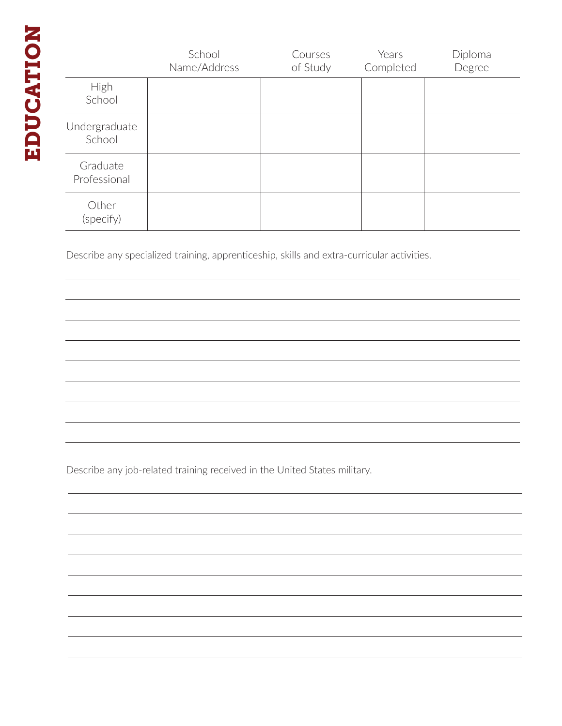|                          | School<br>Name/Address | Courses<br>of Study | Years<br>Completed | Diploma<br>Degree |
|--------------------------|------------------------|---------------------|--------------------|-------------------|
| High<br>School           |                        |                     |                    |                   |
| Undergraduate<br>School  |                        |                     |                    |                   |
| Graduate<br>Professional |                        |                     |                    |                   |
| Other<br>(specify)       |                        |                     |                    |                   |

Describe any specialized training, apprenticeship, skills and extra-curricular activities.

Describe any job-related training received in the United States military.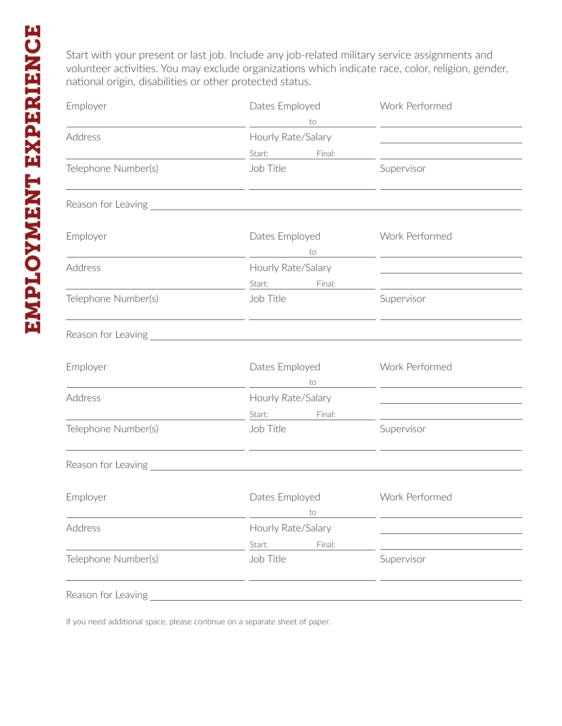Start with your present or last job. Include any job-related military service assignments and volunteer activities. You may exclude organizations which indicate race, color, religion, gender, national origin, disabilities or other protected status.

| Employer                                                                          | Dates Employed<br>to                                            | Work Performed<br><u> 1989 - John Harry Harry Harry Harry Harry Harry Harry Harry Harry Harry Harry Harry Harry Harry Harry Harry Harry Harry Harry Harry Harry Harry Harry Harry Harry Harry Harry Harry Harry Harry Harry Harry Harry Harry Harr</u> |
|-----------------------------------------------------------------------------------|-----------------------------------------------------------------|--------------------------------------------------------------------------------------------------------------------------------------------------------------------------------------------------------------------------------------------------------|
| Address                                                                           | Hourly Rate/Salary<br>Start: Final:                             | the control of the control of the control of the control of                                                                                                                                                                                            |
| Telephone Number(s)                                                               | Job Title<br><u> 1990 - Jan Salaman Salaman (j. 1990)</u>       | Supervisor                                                                                                                                                                                                                                             |
|                                                                                   |                                                                 |                                                                                                                                                                                                                                                        |
| Employer<br><u> 1989 - Johann Barn, fransk politik (d. 1989)</u>                  | Dates Employed<br>to                                            | Work Performed<br><u> 1989 - John Stein, mars and de Branch and de Branch and de Branch and de Branch and de Branch and de Branch a</u>                                                                                                                |
| Address                                                                           | Hourly Rate/Salary<br>Start: Final:                             | the control of the control of the control of the control of the control of                                                                                                                                                                             |
| Telephone Number(s)<br><u> 1980 - Johann Barn, amerikansk politiker (d. 1980)</u> | Job Title<br><u> 1989 - Johann Barn, amerikansk politiker (</u> | Supervisor<br><u> 1989 - Johann Stein, fransk politiker (d. 1989)</u>                                                                                                                                                                                  |
|                                                                                   |                                                                 |                                                                                                                                                                                                                                                        |
| Employer                                                                          | Dates Employed<br>to                                            | Work Performed<br>the control of the control of the control of the control of                                                                                                                                                                          |
| Address                                                                           | Hourly Rate/Salary<br>Start: Final:                             | <u> 1989 - Johann Stoff, Amerikaansk politiker (</u>                                                                                                                                                                                                   |
| Telephone Number(s)                                                               | Job Title                                                       | Supervisor                                                                                                                                                                                                                                             |
|                                                                                   |                                                                 |                                                                                                                                                                                                                                                        |
| Employer                                                                          | Dates Employed<br>to                                            | Work Performed                                                                                                                                                                                                                                         |
| Address                                                                           | Hourly Rate/Salary<br>Final:<br>Start:                          |                                                                                                                                                                                                                                                        |
| Telephone Number(s)                                                               | Job Title                                                       | Supervisor                                                                                                                                                                                                                                             |
| Reason for Leaving                                                                |                                                                 |                                                                                                                                                                                                                                                        |

If you need additional space, please continue on a separate sheet of paper.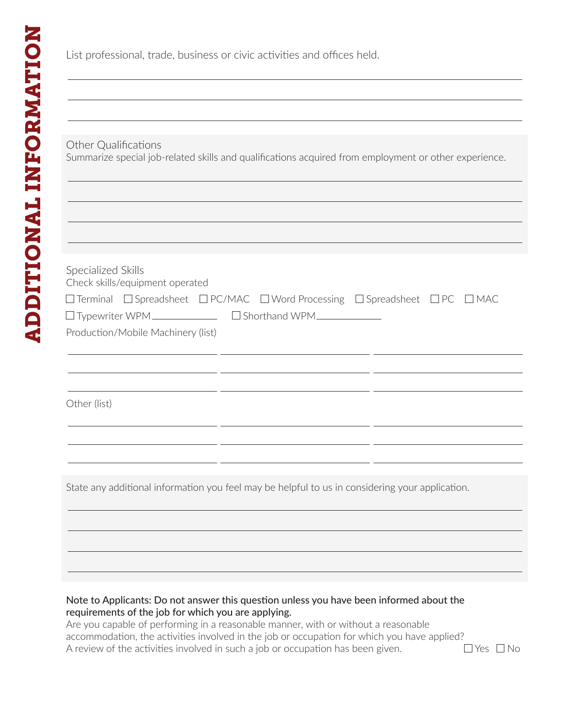List professional, trade, business or civic activities and offices held.

## Other Qualifications

Summarize special job-related skills and qualifications acquired from employment or other experience.

| Specialized Skills<br>Check skills/equipment operated                                                           |
|-----------------------------------------------------------------------------------------------------------------|
| $\Box$ Terminal $\Box$ Spreadsheet $\Box$ PC/MAC $\Box$ Word Processing $\Box$ Spreadsheet $\Box$ PC $\Box$ MAC |
|                                                                                                                 |
| Production/Mobile Machinery (list)                                                                              |
|                                                                                                                 |
|                                                                                                                 |

Other (list)

State any additional information you feel may be helpful to us in considering your application.

## Note to Applicants: Do not answer this question unless you have been informed about the requirements of the job for which you are applying.

Are you capable of performing in a reasonable manner, with or without a reasonable accommodation, the activities involved in the job or occupation for which you have applied? A review of the activities involved in such a job or occupation has been given.  $\Box$  Yes  $\Box$  No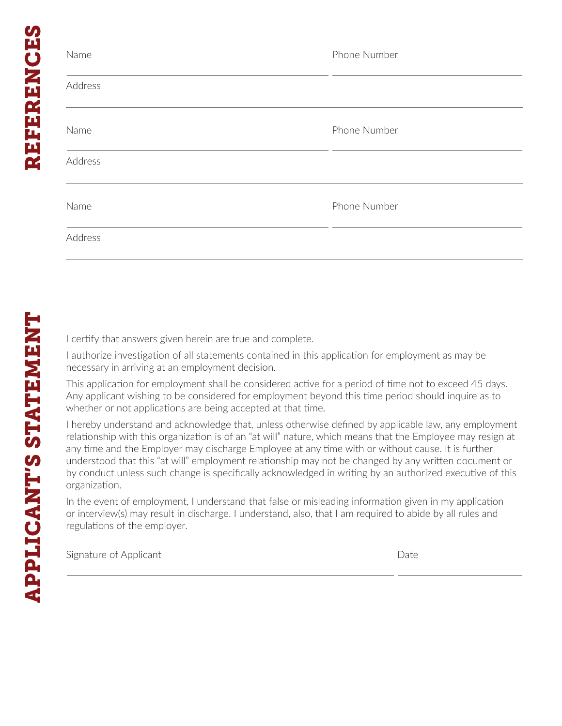| Name    | Phone Number |
|---------|--------------|
| Address |              |
| Name    | Phone Number |
| Address |              |
| Name    | Phone Number |
| Address |              |

I certify that answers given herein are true and complete.

I authorize investigation of all statements contained in this application for employment as may be necessary in arriving at an employment decision.

This application for employment shall be considered active for a period of time not to exceed 45 days. Any applicant wishing to be considered for employment beyond this time period should inquire as to whether or not applications are being accepted at that time.

I hereby understand and acknowledge that, unless otherwise defined by applicable law, any employment relationship with this organization is of an "at will" nature, which means that the Employee may resign at any time and the Employer may discharge Employee at any time with or without cause. It is further understood that this "at will" employment relationship may not be changed by any written document or by conduct unless such change is specifically acknowledged in writing by an authorized executive of this organization.

In the event of employment, I understand that false or misleading information given in my application or interview(s) may result in discharge. I understand, also, that I am required to abide by all rules and regulations of the employer.

Signature of Applicant **Date** Date **Date**